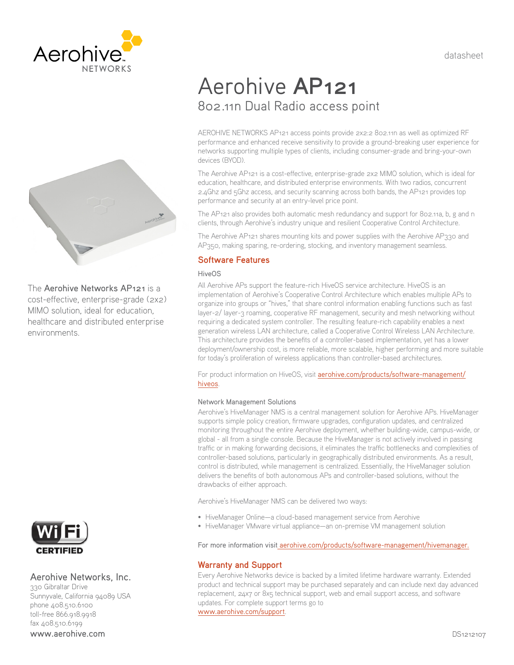datasheet





The Aerohive Networks AP121 is a cost-effective, enterprise-grade (2x2) MIMO solution, ideal for education, healthcare and distributed enterprise environments.



# Aerohive Networks, Inc.

330 Gibraltar Drive Sunnyvale, California 94089 USA phone 408.510.6100 toll-free 866.918.9918 fax 408.510.6199 www.aerohive.com

# Aerohive **AP121** 802.11n Dual Radio access point

AEROHIVE NETWORKS AP121 access points provide 2x2:2 802.11n as well as optimized RF performance and enhanced receive sensitivity to provide a ground-breaking user experience for networks supporting multiple types of clients, including consumer-grade and bring-your-own devices (BYOD).

The Aerohive AP121 is a cost-effective, enterprise-grade 2x2 MIMO solution, which is ideal for education, healthcare, and distributed enterprise environments. With two radios, concurrent 2.4Ghz and 5Ghz access, and security scanning across both bands, the AP121 provides top performance and security at an entry-level price point.

The AP121 also provides both automatic mesh redundancy and support for 802.11a, b, g and n clients, through Aerohive's industry unique and resilient Cooperative Control Architecture.

The Aerohive AP121 shares mounting kits and power supplies with the Aerohive AP330 and AP350, making sparing, re-ordering, stocking, and inventory management seamless.

# **Software Features**

# HiveOS

All Aerohive APs support the feature-rich HiveOS service architecture. HiveOS is an implementation of Aerohive's Cooperative Control Architecture which enables multiple APs to organize into groups or "hives," that share control information enabling functions such as fast layer-2/ layer-3 roaming, cooperative RF management, security and mesh networking without requiring a dedicated system controller. The resulting feature-rich capability enables a next generation wireless LAN architecture, called a Cooperative Control Wireless LAN Architecture. This architecture provides the benefits of a controller-based implementation, yet has a lower deployment/ownership cost, is more reliable, more scalable, higher performing and more suitable for today's proliferation of wireless applications than controller-based architectures.

For product information on HiveOS, visit aerohive.com/products/software-management/ hiveos.

# Network Management Solutions

Aerohive's HiveManager NMS is a central management solution for Aerohive APs. HiveManager supports simple policy creation, firmware upgrades, configuration updates, and centralized monitoring throughout the entire Aerohive deployment, whether building-wide, campus-wide, or global - all from a single console. Because the HiveManager is not actively involved in passing traffic or in making forwarding decisions, it eliminates the traffic bottlenecks and complexities of controller-based solutions, particularly in geographically distributed environments. As a result, control is distributed, while management is centralized. Essentially, the HiveManager solution delivers the benefits of both autonomous APs and controller-based solutions, without the drawbacks of either approach.

Aerohive's HiveManager NMS can be delivered two ways:

- HiveManager Online—a cloud-based management service from Aerohive
- HiveManager VMware virtual appliance—an on-premise VM management solution

For more information visit aerohive.com/products/software-management/hivemanager.

# **Warranty and Support**

Every Aerohive Networks device is backed by a limited lifetime hardware warranty. Extended product and technical support may be purchased separately and can include next day advanced replacement, 24x7 or 8x5 technical support, web and email support access, and software updates. For complete support terms go to www.aerohive.com/support.